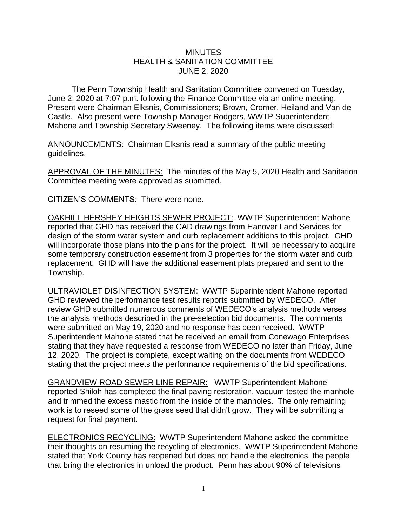## **MINUTES** HEALTH & SANITATION COMMITTEE JUNE 2, 2020

The Penn Township Health and Sanitation Committee convened on Tuesday, June 2, 2020 at 7:07 p.m. following the Finance Committee via an online meeting. Present were Chairman Elksnis, Commissioners; Brown, Cromer, Heiland and Van de Castle. Also present were Township Manager Rodgers, WWTP Superintendent Mahone and Township Secretary Sweeney. The following items were discussed:

ANNOUNCEMENTS: Chairman Elksnis read a summary of the public meeting guidelines.

APPROVAL OF THE MINUTES: The minutes of the May 5, 2020 Health and Sanitation Committee meeting were approved as submitted.

CITIZEN'S COMMENTS: There were none.

OAKHILL HERSHEY HEIGHTS SEWER PROJECT: WWTP Superintendent Mahone reported that GHD has received the CAD drawings from Hanover Land Services for design of the storm water system and curb replacement additions to this project. GHD will incorporate those plans into the plans for the project. It will be necessary to acquire some temporary construction easement from 3 properties for the storm water and curb replacement. GHD will have the additional easement plats prepared and sent to the Township.

ULTRAVIOLET DISINFECTION SYSTEM: WWTP Superintendent Mahone reported GHD reviewed the performance test results reports submitted by WEDECO. After review GHD submitted numerous comments of WEDECO's analysis methods verses the analysis methods described in the pre-selection bid documents. The comments were submitted on May 19, 2020 and no response has been received. WWTP Superintendent Mahone stated that he received an email from Conewago Enterprises stating that they have requested a response from WEDECO no later than Friday, June 12, 2020. The project is complete, except waiting on the documents from WEDECO stating that the project meets the performance requirements of the bid specifications.

GRANDVIEW ROAD SEWER LINE REPAIR: WWTP Superintendent Mahone reported Shiloh has completed the final paving restoration, vacuum tested the manhole and trimmed the excess mastic from the inside of the manholes. The only remaining work is to reseed some of the grass seed that didn't grow. They will be submitting a request for final payment.

ELECTRONICS RECYCLING: WWTP Superintendent Mahone asked the committee their thoughts on resuming the recycling of electronics. WWTP Superintendent Mahone stated that York County has reopened but does not handle the electronics, the people that bring the electronics in unload the product. Penn has about 90% of televisions